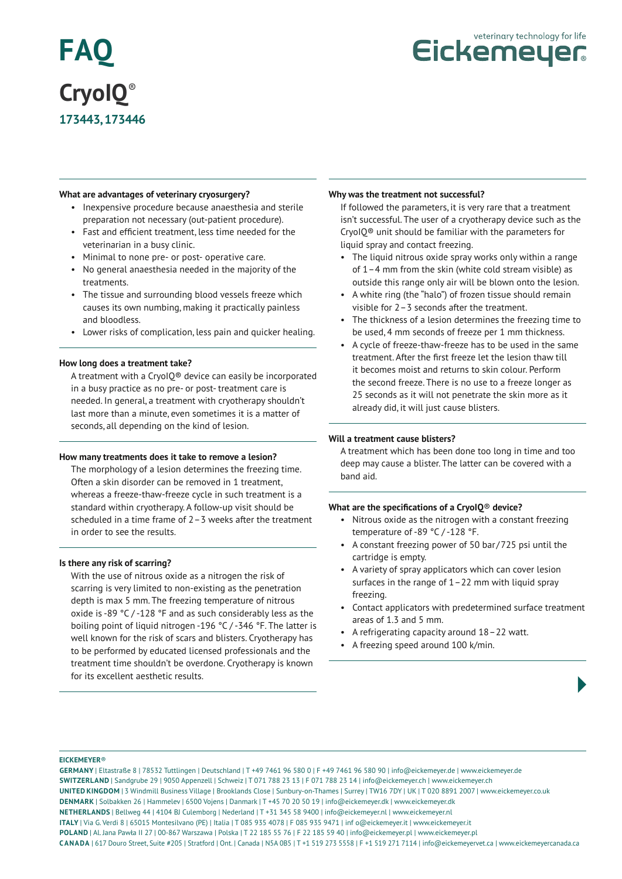# **FAQ CryoIQ**® **173443, 173446**



### **What are advantages of veterinary cryosurgery?**

- Inexpensive procedure because anaesthesia and sterile preparation not necessary (out-patient procedure).
- Fast and efficient treatment, less time needed for the veterinarian in a busy clinic.
- Minimal to none pre- or post- operative care.
- No general anaesthesia needed in the majority of the treatments.
- The tissue and surrounding blood vessels freeze which causes its own numbing, making it practically painless and bloodless.
- Lower risks of complication, less pain and quicker healing.

### **How long does a treatment take?**

A treatment with a CryoIQ® device can easily be incorporated in a busy practice as no pre- or post- treatment care is needed. In general, a treatment with cryotherapy shouldn't last more than a minute, even sometimes it is a matter of seconds, all depending on the kind of lesion.

### **How many treatments does it take to remove a lesion?**

The morphology of a lesion determines the freezing time. Often a skin disorder can be removed in 1 treatment, whereas a freeze-thaw-freeze cycle in such treatment is a standard within cryotherapy. A follow-up visit should be scheduled in a time frame of 2–3 weeks after the treatment in order to see the results.

### **Is there any risk of scarring?**

With the use of nitrous oxide as a nitrogen the risk of scarring is very limited to non-existing as the penetration depth is max 5 mm. The freezing temperature of nitrous oxide is -89 °C / -128 °F and as such considerably less as the boiling point of liquid nitrogen -196 °C / -346 °F. The latter is well known for the risk of scars and blisters. Cryotherapy has to be performed by educated licensed professionals and the treatment time shouldn't be overdone. Cryotherapy is known for its excellent aesthetic results.

#### **Why was the treatment not successful?**

If followed the parameters, it is very rare that a treatment isn't successful. The user of a cryotherapy device such as the CryoIQ® unit should be familiar with the parameters for liquid spray and contact freezing.

- The liquid nitrous oxide spray works only within a range of 1–4 mm from the skin (white cold stream visible) as outside this range only air will be blown onto the lesion.
- A white ring (the "halo") of frozen tissue should remain visible for 2–3 seconds after the treatment.
- The thickness of a lesion determines the freezing time to be used, 4 mm seconds of freeze per 1 mm thickness.
- A cycle of freeze-thaw-freeze has to be used in the same treatment. After the first freeze let the lesion thaw till it becomes moist and returns to skin colour. Perform the second freeze. There is no use to a freeze longer as 25 seconds as it will not penetrate the skin more as it already did, it will just cause blisters.

### **Will a treatment cause blisters?**

A treatment which has been done too long in time and too deep may cause a blister. The latter can be covered with a band aid.

# **What are the specifications of a CryoIQ**® **device?**

- Nitrous oxide as the nitrogen with a constant freezing temperature of -89 °C / -128 °F.
- A constant freezing power of 50 bar/725 psi until the cartridge is empty.
- A variety of spray applicators which can cover lesion surfaces in the range of  $1-22$  mm with liquid spray freezing.
- Contact applicators with predetermined surface treatment areas of 1.3 and 5 mm.
- A refrigerating capacity around 18–22 watt.
- A freezing speed around 100 k/min.

### **EICKEMEYER**®

**GERMANY** | Eltastraße 8 | 78532 Tuttlingen | Deutschland | T +49 7461 96 580 0 | F +49 7461 96 580 90 | info@eickemeyer.de | www.eickemeyer.de **SWITZERLAND** | Sandgrube 29 | 9050 Appenzell | Schweiz | T 071 788 23 13 | F 071 788 23 14 | info@eickemeyer.ch | www.eickemeyer.ch **UNITED KINGDOM** | 3 Windmill Business Village | Brooklands Close | Sunbury-on-Thames | Surrey | TW16 7DY | UK | T 020 8891 2007 | www.eickemeyer.co.uk **DENMARK** | Solbakken 26 | Hammelev | 6500 Vojens | Danmark | T +45 70 20 50 19 | info@eickemeyer.dk | www.eickemeyer.dk **NETHERLANDS** | Bellweg 44 | 4104 BJ Culemborg | Nederland | T +31 345 58 9400 | info@eickemeyer.nl | www.eickemeyer.nl **ITALY** | Via G. Verdi 8 | 65015 Montesilvano (PE) | Italia | T 085 935 4078 | F 085 935 9471 | inf o@eickemeyer.it | www.eickemeyer.it **POLAND** | Al. Jana Pawła II 27 | 00-867 Warszawa | Polska | T 22 185 55 76 | F 22 185 59 40 | info@eickemeyer.pl | www.eickemeyer.pl **CANADA** | 617 Douro Street, Suite #205 | Stratford | Ont. | Canada | N5A 0B5 | T +1 519 273 5558 | F +1 519 271 7114 | info@eickemeyervet.ca | www.eickemeyercanada.ca